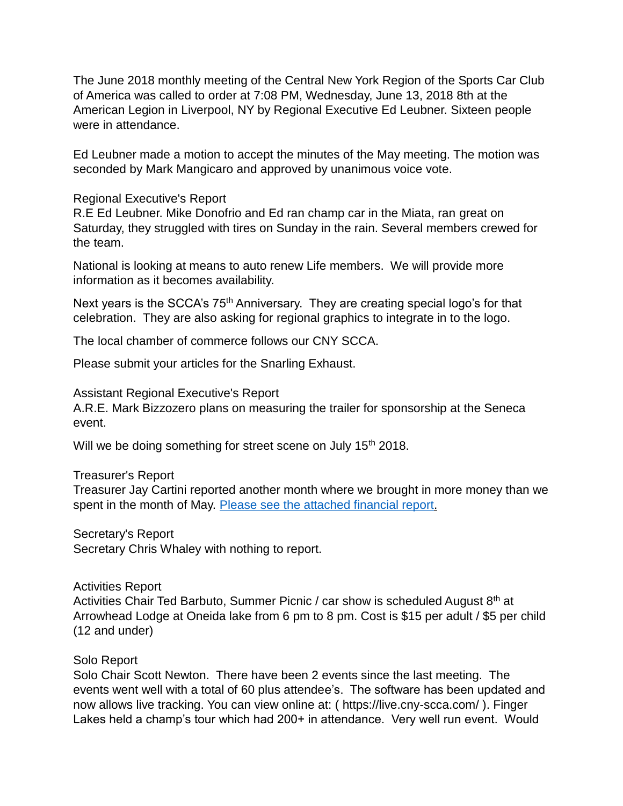The June 2018 monthly meeting of the Central New York Region of the Sports Car Club of America was called to order at 7:08 PM, Wednesday, June 13, 2018 8th at the American Legion in Liverpool, NY by Regional Executive Ed Leubner. Sixteen people were in attendance.

Ed Leubner made a motion to accept the minutes of the May meeting. The motion was seconded by Mark Mangicaro and approved by unanimous voice vote.

## Regional Executive's Report

R.E Ed Leubner. Mike Donofrio and Ed ran champ car in the Miata, ran great on Saturday, they struggled with tires on Sunday in the rain. Several members crewed for the team.

National is looking at means to auto renew Life members. We will provide more information as it becomes availability.

Next years is the SCCA's 75<sup>th</sup> Anniversary. They are creating special logo's for that celebration. They are also asking for regional graphics to integrate in to the logo.

The local chamber of commerce follows our CNY SCCA.

Please submit your articles for the Snarling Exhaust.

Assistant Regional Executive's Report

A.R.E. Mark Bizzozero plans on measuring the trailer for sponsorship at the Seneca event.

Will we be doing something for street scene on July 15<sup>th</sup> 2018.

Treasurer's Report

Treasurer Jay Cartini reported another month where we brought in more money than we spent in the month of May. [Please see the attached financial report.](https://www.cny-scca.com/meeting_minutes/2018_06_treasury.pdf)

Secretary's Report Secretary Chris Whaley with nothing to report.

Activities Report Activities Chair Ted Barbuto, Summer Picnic / car show is scheduled August 8<sup>th</sup> at Arrowhead Lodge at Oneida lake from 6 pm to 8 pm. Cost is \$15 per adult / \$5 per child (12 and under)

## Solo Report

Solo Chair Scott Newton. There have been 2 events since the last meeting. The events went well with a total of 60 plus attendee's. The software has been updated and now allows live tracking. You can view online at: ( https://live.cny-scca.com/ ). Finger Lakes held a champ's tour which had 200+ in attendance. Very well run event. Would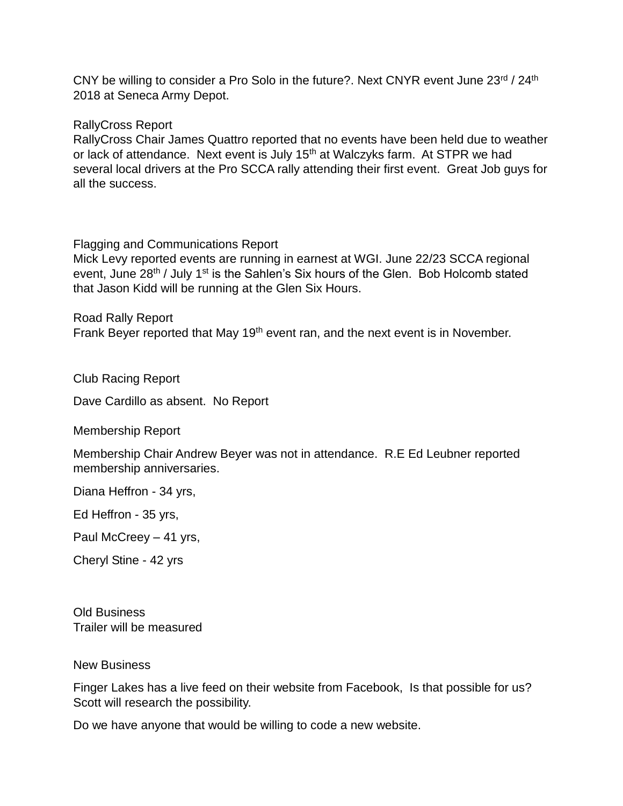CNY be willing to consider a Pro Solo in the future?. Next CNYR event June 23rd / 24th 2018 at Seneca Army Depot.

RallyCross Report

RallyCross Chair James Quattro reported that no events have been held due to weather or lack of attendance. Next event is July 15<sup>th</sup> at Walczyks farm. At STPR we had several local drivers at the Pro SCCA rally attending their first event. Great Job guys for all the success.

Flagging and Communications Report

Mick Levy reported events are running in earnest at WGI. June 22/23 SCCA regional event, June 28<sup>th</sup> / July 1<sup>st</sup> is the Sahlen's Six hours of the Glen. Bob Holcomb stated that Jason Kidd will be running at the Glen Six Hours.

Road Rally Report Frank Beyer reported that May 19<sup>th</sup> event ran, and the next event is in November.

Club Racing Report

Dave Cardillo as absent. No Report

Membership Report

Membership Chair Andrew Beyer was not in attendance. R.E Ed Leubner reported membership anniversaries.

Diana Heffron - 34 yrs,

Ed Heffron - 35 yrs,

Paul McCreey – 41 yrs,

Cheryl Stine - 42 yrs

Old Business Trailer will be measured

New Business

Finger Lakes has a live feed on their website from Facebook, Is that possible for us? Scott will research the possibility.

Do we have anyone that would be willing to code a new website.